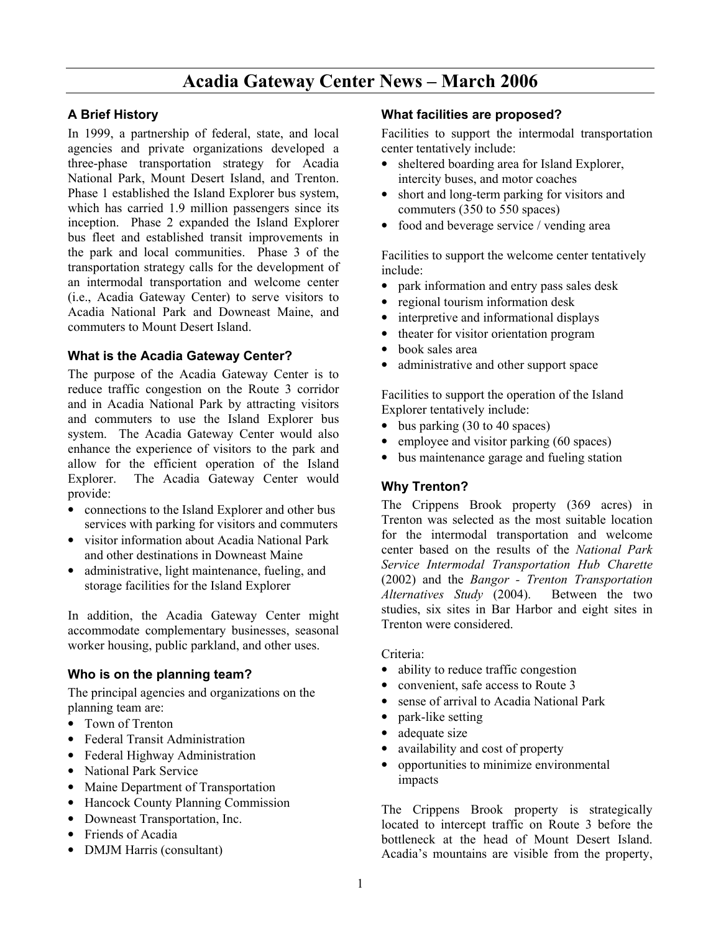# Acadia Gateway Center News – March 2006

### A Brief History

In 1999, a partnership of federal, state, and local agencies and private organizations developed a three-phase transportation strategy for Acadia National Park, Mount Desert Island, and Trenton. Phase 1 established the Island Explorer bus system, which has carried 1.9 million passengers since its inception. Phase 2 expanded the Island Explorer bus fleet and established transit improvements in the park and local communities. Phase 3 of the transportation strategy calls for the development of an intermodal transportation and welcome center (i.e., Acadia Gateway Center) to serve visitors to Acadia National Park and Downeast Maine, and commuters to Mount Desert Island.

#### What is the Acadia Gateway Center?

The purpose of the Acadia Gateway Center is to reduce traffic congestion on the Route 3 corridor and in Acadia National Park by attracting visitors and commuters to use the Island Explorer bus system. The Acadia Gateway Center would also enhance the experience of visitors to the park and allow for the efficient operation of the Island Explorer. The Acadia Gateway Center would provide:

- connections to the Island Explorer and other bus services with parking for visitors and commuters
- visitor information about Acadia National Park and other destinations in Downeast Maine
- administrative, light maintenance, fueling, and storage facilities for the Island Explorer

In addition, the Acadia Gateway Center might accommodate complementary businesses, seasonal worker housing, public parkland, and other uses.

## Who is on the planning team?

The principal agencies and organizations on the planning team are:

- Town of Trenton
- Federal Transit Administration
- Federal Highway Administration
- National Park Service
- Maine Department of Transportation
- Hancock County Planning Commission
- Downeast Transportation, Inc.
- Friends of Acadia
- DMJM Harris (consultant)

# What facilities are proposed?

Facilities to support the intermodal transportation center tentatively include:

- sheltered boarding area for Island Explorer, intercity buses, and motor coaches
- short and long-term parking for visitors and commuters (350 to 550 spaces)
- food and beverage service / vending area

Facilities to support the welcome center tentatively include:

- park information and entry pass sales desk
- regional tourism information desk
- interpretive and informational displays
- theater for visitor orientation program
- book sales area
- administrative and other support space

Facilities to support the operation of the Island Explorer tentatively include:

- bus parking (30 to 40 spaces)
- employee and visitor parking (60 spaces)
- bus maintenance garage and fueling station

## Why Trenton?

The Crippens Brook property (369 acres) in Trenton was selected as the most suitable location for the intermodal transportation and welcome center based on the results of the National Park Service Intermodal Transportation Hub Charette (2002) and the Bangor - Trenton Transportation Alternatives Study (2004). Between the two studies, six sites in Bar Harbor and eight sites in Trenton were considered.

Criteria:

- ability to reduce traffic congestion
- convenient, safe access to Route 3
- sense of arrival to Acadia National Park
- park-like setting
- adequate size
- availability and cost of property
- opportunities to minimize environmental impacts

The Crippens Brook property is strategically located to intercept traffic on Route 3 before the bottleneck at the head of Mount Desert Island. Acadia's mountains are visible from the property,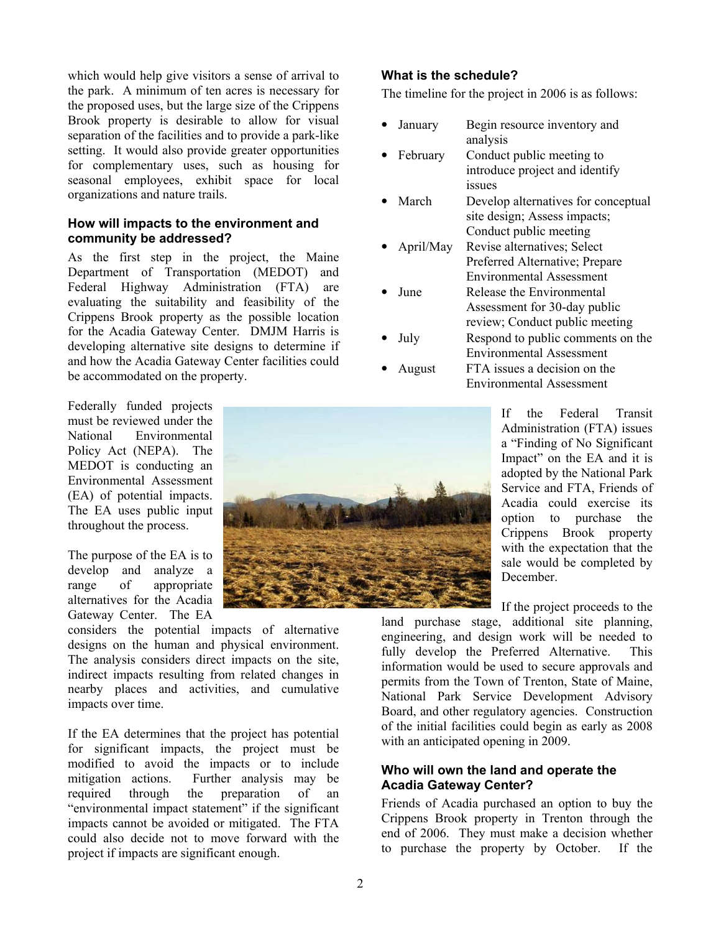which would help give visitors a sense of arrival to the park. A minimum of ten acres is necessary for the proposed uses, but the large size of the Crippens Brook property is desirable to allow for visual separation of the facilities and to provide a park-like setting. It would also provide greater opportunities for complementary uses, such as housing for seasonal employees, exhibit space for local organizations and nature trails.

#### How will impacts to the environment and community be addressed?

As the first step in the project, the Maine Department of Transportation (MEDOT) and Federal Highway Administration (FTA) are evaluating the suitability and feasibility of the Crippens Brook property as the possible location for the Acadia Gateway Center. DMJM Harris is developing alternative site designs to determine if and how the Acadia Gateway Center facilities could be accommodated on the property.

Federally funded projects must be reviewed under the National Environmental Policy Act (NEPA). The MEDOT is conducting an Environmental Assessment (EA) of potential impacts. The EA uses public input throughout the process.

The purpose of the EA is to develop and analyze a range of appropriate alternatives for the Acadia Gateway Center. The EA

considers the potential impacts of alternative designs on the human and physical environment. The analysis considers direct impacts on the site, indirect impacts resulting from related changes in nearby places and activities, and cumulative impacts over time.

If the EA determines that the project has potential for significant impacts, the project must be modified to avoid the impacts or to include mitigation actions. Further analysis may be required through the preparation of an "environmental impact statement" if the significant impacts cannot be avoided or mitigated. The FTA could also decide not to move forward with the project if impacts are significant enough.

# What is the schedule?

The timeline for the project in 2006 is as follows:

- January Begin resource inventory and analysis
- February Conduct public meeting to introduce project and identify issues
- March Develop alternatives for conceptual site design; Assess impacts; Conduct public meeting
- April/May Revise alternatives; Select Preferred Alternative; Prepare Environmental Assessment
- June Release the Environmental Assessment for 30-day public review; Conduct public meeting
- July Respond to public comments on the Environmental Assessment
- August FTA issues a decision on the Environmental Assessment

If the Federal Transit Administration (FTA) issues a "Finding of No Significant Impact" on the EA and it is adopted by the National Park Service and FTA, Friends of Acadia could exercise its option to purchase the Crippens Brook property with the expectation that the sale would be completed by December.

If the project proceeds to the

land purchase stage, additional site planning, engineering, and design work will be needed to fully develop the Preferred Alternative. This information would be used to secure approvals and permits from the Town of Trenton, State of Maine, National Park Service Development Advisory Board, and other regulatory agencies. Construction of the initial facilities could begin as early as 2008 with an anticipated opening in 2009.

#### Who will own the land and operate the Acadia Gateway Center?

Friends of Acadia purchased an option to buy the Crippens Brook property in Trenton through the end of 2006. They must make a decision whether to purchase the property by October. If the

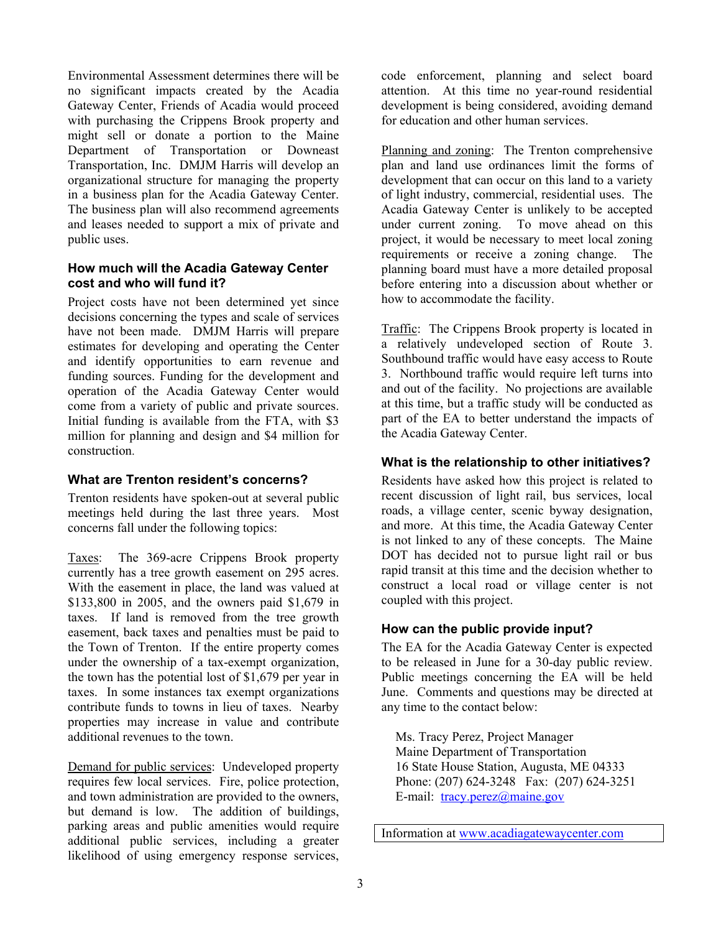Environmental Assessment determines there will be no significant impacts created by the Acadia Gateway Center, Friends of Acadia would proceed with purchasing the Crippens Brook property and might sell or donate a portion to the Maine Department of Transportation or Downeast Transportation, Inc. DMJM Harris will develop an organizational structure for managing the property in a business plan for the Acadia Gateway Center. The business plan will also recommend agreements and leases needed to support a mix of private and public uses.

#### How much will the Acadia Gateway Center cost and who will fund it?

Project costs have not been determined yet since decisions concerning the types and scale of services have not been made. DMJM Harris will prepare estimates for developing and operating the Center and identify opportunities to earn revenue and funding sources. Funding for the development and operation of the Acadia Gateway Center would come from a variety of public and private sources. Initial funding is available from the FTA, with \$3 million for planning and design and \$4 million for construction.

## What are Trenton resident's concerns?

Trenton residents have spoken-out at several public meetings held during the last three years. Most concerns fall under the following topics:

Taxes: The 369-acre Crippens Brook property currently has a tree growth easement on 295 acres. With the easement in place, the land was valued at \$133,800 in 2005, and the owners paid \$1,679 in taxes. If land is removed from the tree growth easement, back taxes and penalties must be paid to the Town of Trenton. If the entire property comes under the ownership of a tax-exempt organization, the town has the potential lost of \$1,679 per year in taxes. In some instances tax exempt organizations contribute funds to towns in lieu of taxes. Nearby properties may increase in value and contribute additional revenues to the town.

Demand for public services: Undeveloped property requires few local services. Fire, police protection, and town administration are provided to the owners, but demand is low. The addition of buildings, parking areas and public amenities would require additional public services, including a greater likelihood of using emergency response services,

code enforcement, planning and select board attention. At this time no year-round residential development is being considered, avoiding demand for education and other human services.

Planning and zoning: The Trenton comprehensive plan and land use ordinances limit the forms of development that can occur on this land to a variety of light industry, commercial, residential uses. The Acadia Gateway Center is unlikely to be accepted under current zoning. To move ahead on this project, it would be necessary to meet local zoning requirements or receive a zoning change. The planning board must have a more detailed proposal before entering into a discussion about whether or how to accommodate the facility.

Traffic: The Crippens Brook property is located in a relatively undeveloped section of Route 3. Southbound traffic would have easy access to Route 3. Northbound traffic would require left turns into and out of the facility. No projections are available at this time, but a traffic study will be conducted as part of the EA to better understand the impacts of the Acadia Gateway Center.

# What is the relationship to other initiatives?

Residents have asked how this project is related to recent discussion of light rail, bus services, local roads, a village center, scenic byway designation, and more. At this time, the Acadia Gateway Center is not linked to any of these concepts. The Maine DOT has decided not to pursue light rail or bus rapid transit at this time and the decision whether to construct a local road or village center is not coupled with this project.

## How can the public provide input?

The EA for the Acadia Gateway Center is expected to be released in June for a 30-day public review. Public meetings concerning the EA will be held June. Comments and questions may be directed at any time to the contact below:

Ms. Tracy Perez, Project Manager Maine Department of Transportation 16 State House Station, Augusta, ME 04333 Phone: (207) 624-3248 Fax: (207) 624-3251 E-mail: tracy.perez@maine.gov

Information at www.acadiagatewaycenter.com